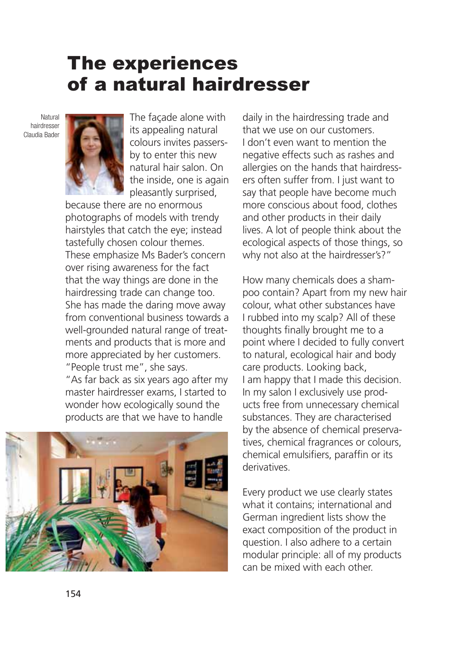## The experiences of a natural hairdresser

Natural hairdresser Claudia Bader



The façade alone with its appealing natural colours invites passersby to enter this new natural hair salon. On the inside, one is again pleasantly surprised,

because there are no enormous photographs of models with trendy hairstyles that catch the eye; instead tastefully chosen colour themes. These emphasize Ms Bader's concern over rising awareness for the fact that the way things are done in the hairdressing trade can change too. She has made the daring move away from conventional business towards a well-grounded natural range of treatments and products that is more and more appreciated by her customers. "People trust me", she says.

"As far back as six years ago after my master hairdresser exams, I started to wonder how ecologically sound the products are that we have to handle



daily in the hairdressing trade and that we use on our customers. I don't even want to mention the negative effects such as rashes and allergies on the hands that hairdressers often suffer from. I just want to say that people have become much more conscious about food, clothes and other products in their daily lives. A lot of people think about the ecological aspects of those things, so why not also at the hairdresser's?"

How many chemicals does a shampoo contain? Apart from my new hair colour, what other substances have I rubbed into my scalp? All of these thoughts finally brought me to a point where I decided to fully convert to natural, ecological hair and body care products. Looking back, I am happy that I made this decision. In my salon I exclusively use products free from unnecessary chemical substances. They are characterised by the absence of chemical preservatives, chemical fragrances or colours, chemical emulsifiers, paraffin or its derivatives.

Every product we use clearly states what it contains; international and German ingredient lists show the exact composition of the product in question. I also adhere to a certain modular principle: all of my products can be mixed with each other.